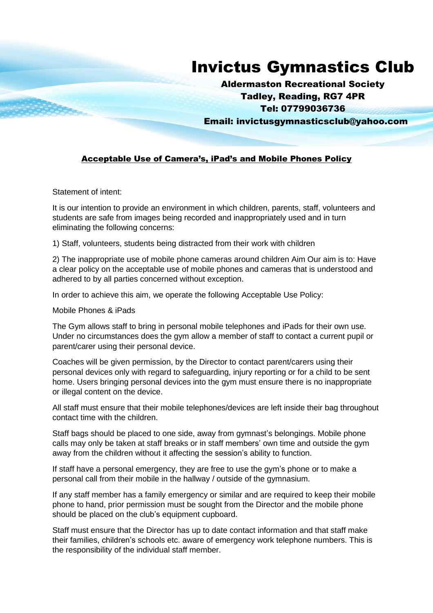## Invictus Gymnastics Club

Aldermaston Recreational Society Tadley, Reading, RG7 4PR Tel: 07799036736

Email: invictusgymnasticsclub@yahoo.com

## Acceptable Use of Camera's, iPad's and Mobile Phones Policy

Statement of intent:

It is our intention to provide an environment in which children, parents, staff, volunteers and students are safe from images being recorded and inappropriately used and in turn eliminating the following concerns:

1) Staff, volunteers, students being distracted from their work with children

2) The inappropriate use of mobile phone cameras around children Aim Our aim is to: Have a clear policy on the acceptable use of mobile phones and cameras that is understood and adhered to by all parties concerned without exception.

In order to achieve this aim, we operate the following Acceptable Use Policy:

Mobile Phones & iPads

The Gym allows staff to bring in personal mobile telephones and iPads for their own use. Under no circumstances does the gym allow a member of staff to contact a current pupil or parent/carer using their personal device.

Coaches will be given permission, by the Director to contact parent/carers using their personal devices only with regard to safeguarding, injury reporting or for a child to be sent home. Users bringing personal devices into the gym must ensure there is no inappropriate or illegal content on the device.

All staff must ensure that their mobile telephones/devices are left inside their bag throughout contact time with the children.

Staff bags should be placed to one side, away from gymnast's belongings. Mobile phone calls may only be taken at staff breaks or in staff members' own time and outside the gym away from the children without it affecting the session's ability to function.

If staff have a personal emergency, they are free to use the gym's phone or to make a personal call from their mobile in the hallway / outside of the gymnasium.

If any staff member has a family emergency or similar and are required to keep their mobile phone to hand, prior permission must be sought from the Director and the mobile phone should be placed on the club's equipment cupboard.

Staff must ensure that the Director has up to date contact information and that staff make their families, children's schools etc. aware of emergency work telephone numbers. This is the responsibility of the individual staff member.